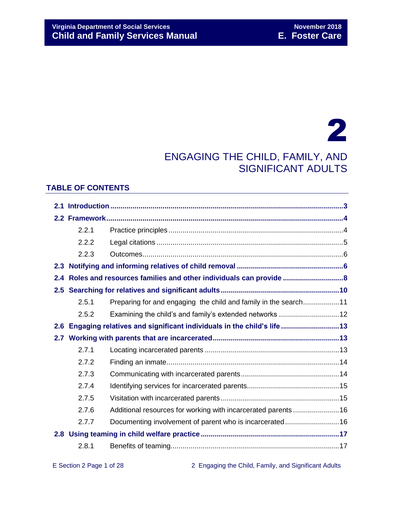# 2

## ENGAGING THE CHILD, FAMILY, AND SIGNIFICANT ADULTS

## **TABLE OF CONTENTS**

|     | 2.2.1 |                                                                      |  |  |  |
|-----|-------|----------------------------------------------------------------------|--|--|--|
|     | 2.2.2 |                                                                      |  |  |  |
|     | 2.2.3 |                                                                      |  |  |  |
| 2.3 |       |                                                                      |  |  |  |
| 2.4 |       |                                                                      |  |  |  |
|     |       |                                                                      |  |  |  |
|     | 2.5.1 | Preparing for and engaging the child and family in the search11      |  |  |  |
|     | 2.5.2 | Examining the child's and family's extended networks 12              |  |  |  |
| 2.6 |       | Engaging relatives and significant individuals in the child's life13 |  |  |  |
|     |       |                                                                      |  |  |  |
|     | 2.7.1 |                                                                      |  |  |  |
|     | 2.7.2 |                                                                      |  |  |  |
|     | 2.7.3 |                                                                      |  |  |  |
|     | 2.7.4 |                                                                      |  |  |  |
|     | 2.7.5 |                                                                      |  |  |  |
|     | 2.7.6 | Additional resources for working with incarcerated parents16         |  |  |  |
|     | 2.7.7 | Documenting involvement of parent who is incarcerated16              |  |  |  |
|     |       |                                                                      |  |  |  |
|     | 2.8.1 |                                                                      |  |  |  |
|     |       |                                                                      |  |  |  |

E Section 2 Page 1 of 28 2 Engaging the Child, Family, and Significant Adults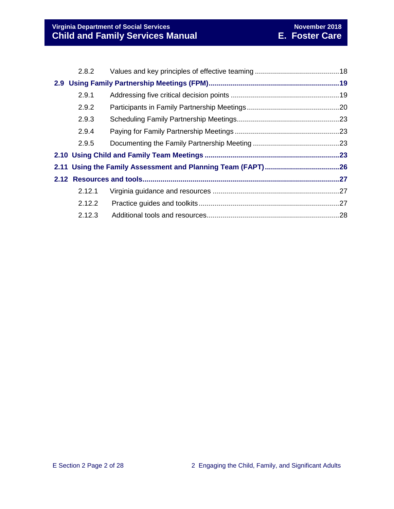| 2.8.2  |  |  |  |
|--------|--|--|--|
|        |  |  |  |
| 2.9.1  |  |  |  |
| 2.9.2  |  |  |  |
| 2.9.3  |  |  |  |
| 2.9.4  |  |  |  |
| 2.9.5  |  |  |  |
|        |  |  |  |
|        |  |  |  |
|        |  |  |  |
| 2.12.1 |  |  |  |
| 2.12.2 |  |  |  |
| 2.12.3 |  |  |  |
|        |  |  |  |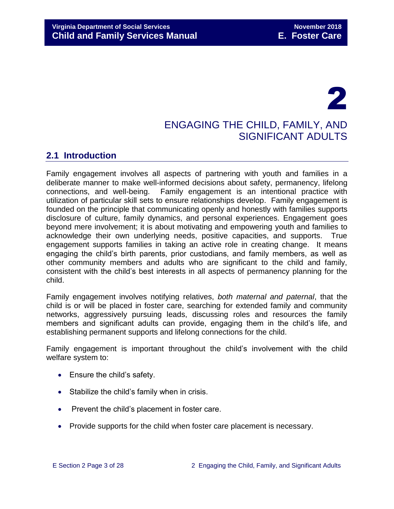# 2

## ENGAGING THE CHILD, FAMILY, AND SIGNIFICANT ADULTS

## <span id="page-2-0"></span>**2.1 Introduction**

Family engagement involves all aspects of partnering with youth and families in a deliberate manner to make well-informed decisions about safety, permanency, lifelong connections, and well-being. Family engagement is an intentional practice with utilization of particular skill sets to ensure relationships develop. Family engagement is founded on the principle that communicating openly and honestly with families supports disclosure of culture, family dynamics, and personal experiences. Engagement goes beyond mere involvement; it is about motivating and empowering youth and families to acknowledge their own underlying needs, positive capacities, and supports. True engagement supports families in taking an active role in creating change. It means engaging the child's birth parents, prior custodians, and family members, as well as other community members and adults who are significant to the child and family, consistent with the child's best interests in all aspects of permanency planning for the child.

Family engagement involves notifying relatives, *both maternal and paternal*, that the child is or will be placed in foster care, searching for extended family and community networks, aggressively pursuing leads, discussing roles and resources the family members and significant adults can provide, engaging them in the child's life, and establishing permanent supports and lifelong connections for the child.

Family engagement is important throughout the child's involvement with the child welfare system to:

- Ensure the child's safety.
- Stabilize the child's family when in crisis.
- Prevent the child's placement in foster care.
- Provide supports for the child when foster care placement is necessary.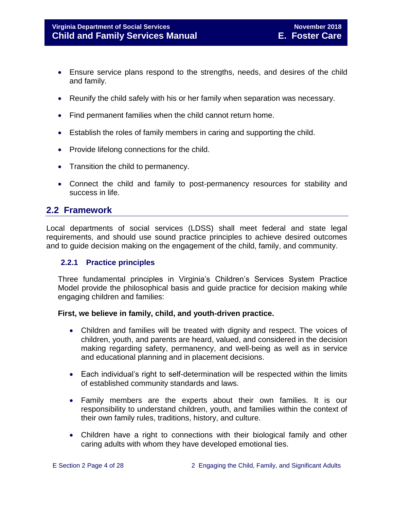- Ensure service plans respond to the strengths, needs, and desires of the child and family.
- Reunify the child safely with his or her family when separation was necessary.
- Find permanent families when the child cannot return home.
- Establish the roles of family members in caring and supporting the child.
- Provide lifelong connections for the child.
- Transition the child to permanency.
- Connect the child and family to post-permanency resources for stability and success in life.

## <span id="page-3-0"></span>**2.2 Framework**

Local departments of social services (LDSS) shall meet federal and state legal requirements, and should use sound practice principles to achieve desired outcomes and to guide decision making on the engagement of the child, family, and community.

#### <span id="page-3-1"></span>**2.2.1 Practice principles**

Three fundamental principles in Virginia's Children's Services System Practice Model provide the philosophical basis and guide practice for decision making while engaging children and families:

#### **First, we believe in family, child, and youth-driven practice.**

- Children and families will be treated with dignity and respect. The voices of children, youth, and parents are heard, valued, and considered in the decision making regarding safety, permanency, and well-being as well as in service and educational planning and in placement decisions.
- Each individual's right to self-determination will be respected within the limits of established community standards and laws.
- Family members are the experts about their own families. It is our responsibility to understand children, youth, and families within the context of their own family rules, traditions, history, and culture.
- Children have a right to connections with their biological family and other caring adults with whom they have developed emotional ties.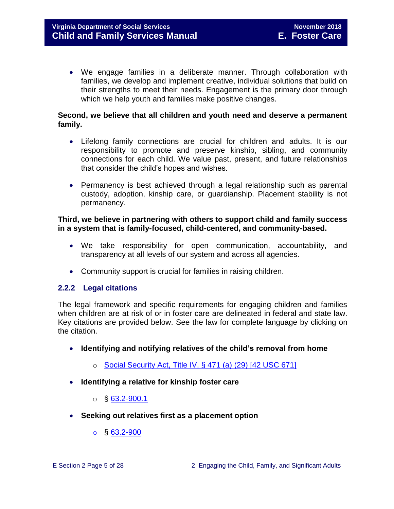We engage families in a deliberate manner. Through collaboration with families, we develop and implement creative, individual solutions that build on their strengths to meet their needs. Engagement is the primary door through which we help youth and families make positive changes.

#### **Second, we believe that all children and youth need and deserve a permanent family.**

- Lifelong family connections are crucial for children and adults. It is our responsibility to promote and preserve kinship, sibling, and community connections for each child. We value past, present, and future relationships that consider the child's hopes and wishes.
- Permanency is best achieved through a legal relationship such as parental custody, adoption, kinship care, or guardianship. Placement stability is not permanency.

#### **Third, we believe in partnering with others to support child and family success in a system that is family-focused, child-centered, and community-based.**

- We take responsibility for open communication, accountability, and transparency at all levels of our system and across all agencies.
- <span id="page-4-0"></span>• Community support is crucial for families in raising children.

#### **2.2.2 Legal citations**

The legal framework and specific requirements for engaging children and families when children are at risk of or in foster care are delineated in federal and state law. Key citations are provided below. See the law for complete language by clicking on the citation.

- **Identifying and notifying relatives of the child's removal from home** 
	- o [Social Security Act, Title IV, § 471 \(a\) \(29\) \[42 USC 671\]](http://www.ssa.gov/OP_Home/ssact/title04/0471.htm)
- **Identifying a relative for kinship foster care**
	- $\circ$  § [63.2-900.1](http://law.lis.virginia.gov/vacode/63.2-900.1/)
- **Seeking out relatives first as a placement option** 
	- $\circ$  § [63.2-900](http://law.lis.virginia.gov/vacode/63.2-900/)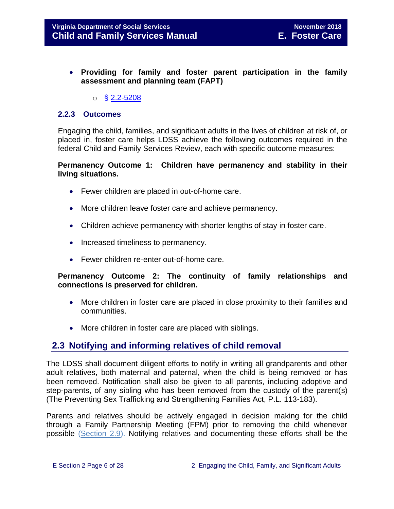- **Providing for family and foster parent participation in the family assessment and planning team (FAPT)** 
	- $\circ$  § [2.2-5208](http://law.lis.virginia.gov/vacode/2.2-5208/)

#### <span id="page-5-0"></span>**2.2.3 Outcomes**

Engaging the child, families, and significant adults in the lives of children at risk of, or placed in, foster care helps LDSS achieve the following outcomes required in the federal Child and Family Services Review, each with specific outcome measures:

#### **Permanency Outcome 1: Children have permanency and stability in their living situations.**

- Fewer children are placed in out-of-home care.
- More children leave foster care and achieve permanency.
- Children achieve permanency with shorter lengths of stay in foster care.
- Increased timeliness to permanency.
- Fewer children re-enter out-of-home care.

#### **Permanency Outcome 2: The continuity of family relationships and connections is preserved for children.**

- More children in foster care are placed in close proximity to their families and communities.
- More children in foster care are placed with siblings.

## <span id="page-5-1"></span>**2.3 Notifying and informing relatives of child removal**

The LDSS shall document diligent efforts to notify in writing all grandparents and other adult relatives, both maternal and paternal, when the child is being removed or has been removed. Notification shall also be given to all parents, including adoptive and step-parents, of any sibling who has been removed from the custody of the parent(s) [\(The Preventing Sex Trafficking and Strengthening Families Act, P.L. 113-183\)](https://www.congress.gov/113/bills/hr4980/BILLS-113hr4980enr.pdf).

Parents and relatives should be actively engaged in decision making for the child through a Family Partnership Meeting (FPM) prior to removing the child whenever possible [\(Section 2.9\)](http://www.dss.virginia.gov/files/division/dfs/fc/intro_page/guidance_manuals/fc/07_2015/Section_02_Engaging_the_Child_Family_and_Significant_Adults.pdf). Notifying relatives and documenting these efforts shall be the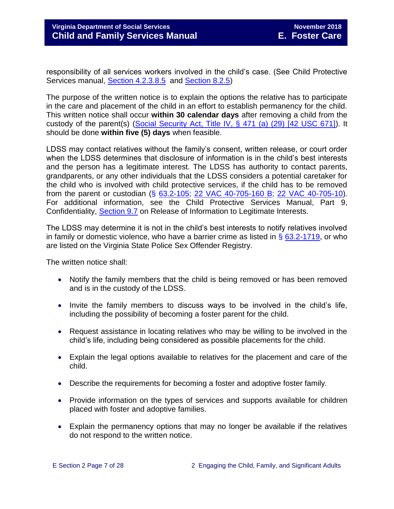responsibility of all services workers involved in the child's case. (See Child Protective Services manual, [Section 4.2.3.8.5](http://www.dss.virginia.gov/files/division/dfs/cps/intro_page/manuals/07-2015/Section_04_Family_Assessmen_and_Investigation.pdf) and [Section 8.2.5\)](http://www.dss.virginia.gov/files/division/dfs/cps/intro_page/manuals/07-2015/Section_08_Judicial_Proceedings.pdf)

The purpose of the written notice is to explain the options the relative has to participate in the care and placement of the child in an effort to establish permanency for the child. This written notice shall occur **within 30 calendar days** after removing a child from the custody of the parent(s) [\(Social Security Act, Title IV, § 471 \(a\) \(29\) \[42 USC 671\]\)](http://www.ssa.gov/OP_Home/ssact/title04/0471.htm). It should be done **within five (5) days** when feasible.

LDSS may contact relatives without the family's consent, written release, or court order when the LDSS determines that disclosure of information is in the child's best interests and the person has a legitimate interest. The LDSS has authority to contact parents, grandparents, or any other individuals that the LDSS considers a potential caretaker for the child who is involved with child protective services, if the child has to be removed from the parent or custodian (§ [63.2-105;](http://law.lis.virginia.gov/vacode/63.2-105/) [22 VAC 40-705-160 B;](http://law.lis.virginia.gov/admincode/title22/agency40/chapter705/section160/) [22 VAC 40-705-10\)](http://law.lis.virginia.gov/admincode/title22/agency40/chapter705/section10/). For additional information, see the Child Protective Services Manual, Part 9, Confidentiality, [Section 9.7](http://www.dss.virginia.gov/files/division/dfs/cps/intro_page/manuals/07-2015/Section_09_Confidentiality.pdf) on Release of Information to Legitimate Interests.

The LDSS may determine it is not in the child's best interests to notify relatives involved in family or domestic violence, who have a barrier crime as listed in  $\S$  [63.2-1719,](http://law.lis.virginia.gov/vacode/63.2-1719/) or who are listed on the Virginia State Police Sex Offender Registry.

The written notice shall:

- Notify the family members that the child is being removed or has been removed and is in the custody of the LDSS.
- Invite the family members to discuss ways to be involved in the child's life, including the possibility of becoming a foster parent for the child.
- Request assistance in locating relatives who may be willing to be involved in the child's life, including being considered as possible placements for the child.
- Explain the legal options available to relatives for the placement and care of the child.
- Describe the requirements for becoming a foster and adoptive foster family.
- Provide information on the types of services and supports available for children placed with foster and adoptive families.
- Explain the permanency options that may no longer be available if the relatives do not respond to the written notice.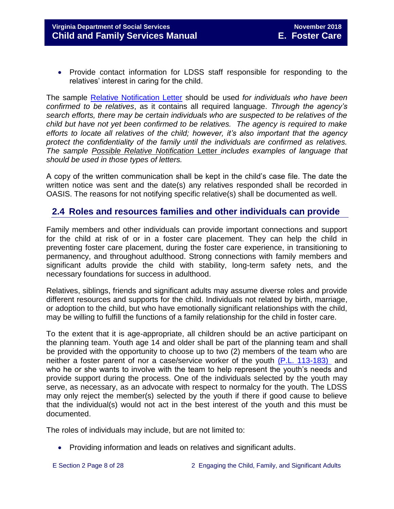• Provide contact information for LDSS staff responsible for responding to the relatives' interest in caring for the child.

The sample [Relative Notification Letter](http://www.dss.virginia.gov/files/division/dfs/fc/intro_page/forms/032-04-0074-00-eng.doc) should be used *for individuals who have been confirmed to be relatives*, as it contains all required language. *Through the agency's search efforts, there may be certain individuals who are suspected to be relatives of the child but have not yet been confirmed to be relatives. The agency is required to make efforts to locate all relatives of the child; however, it's also important that the agency protect the confidentiality of the family until the individuals are confirmed as relatives. The sample Possible Relative Notification* Letter *includes examples of language that should be used in those types of letters.* 

A copy of the written communication shall be kept in the child's case file. The date the written notice was sent and the date(s) any relatives responded shall be recorded in OASIS. The reasons for not notifying specific relative(s) shall be documented as well.

## <span id="page-7-0"></span>**2.4 Roles and resources families and other individuals can provide**

Family members and other individuals can provide important connections and support for the child at risk of or in a foster care placement. They can help the child in preventing foster care placement, during the foster care experience, in transitioning to permanency, and throughout adulthood. Strong connections with family members and significant adults provide the child with stability, long-term safety nets, and the necessary foundations for success in adulthood.

Relatives, siblings, friends and significant adults may assume diverse roles and provide different resources and supports for the child. Individuals not related by birth, marriage, or adoption to the child, but who have emotionally significant relationships with the child, may be willing to fulfill the functions of a family relationship for the child in foster care.

To the extent that it is age-appropriate, all children should be an active participant on the planning team. Youth age 14 and older shall be part of the planning team and shall be provided with the opportunity to choose up to two (2) members of the team who are neither a foster parent of nor a case/service worker of the youth [\(P.L. 113-183\)](https://www.congress.gov/113/plaws/publ183/PLAW-113publ183.pdf) and who he or she wants to involve with the team to help represent the youth's needs and provide support during the process. One of the individuals selected by the youth may serve, as necessary, as an advocate with respect to normalcy for the youth. The LDSS may only reject the member(s) selected by the youth if there if good cause to believe that the individual(s) would not act in the best interest of the youth and this must be documented.

The roles of individuals may include, but are not limited to:

- Providing information and leads on relatives and significant adults.
-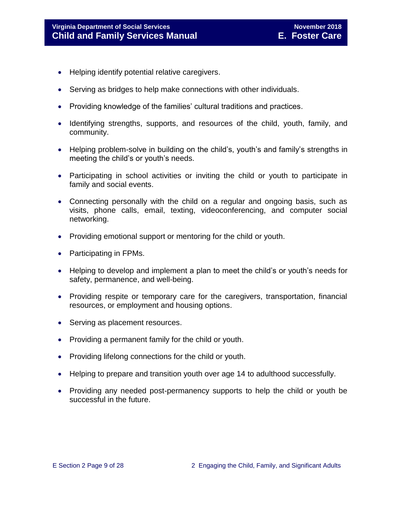- Helping identify potential relative caregivers.
- Serving as bridges to help make connections with other individuals.
- Providing knowledge of the families' cultural traditions and practices.
- Identifying strengths, supports, and resources of the child, youth, family, and community.
- Helping problem-solve in building on the child's, youth's and family's strengths in meeting the child's or youth's needs.
- Participating in school activities or inviting the child or youth to participate in family and social events.
- Connecting personally with the child on a regular and ongoing basis, such as visits, phone calls, email, texting, videoconferencing, and computer social networking.
- Providing emotional support or mentoring for the child or youth.
- Participating in FPMs.
- Helping to develop and implement a plan to meet the child's or youth's needs for safety, permanence, and well-being.
- Providing respite or temporary care for the caregivers, transportation, financial resources, or employment and housing options.
- Serving as placement resources.
- Providing a permanent family for the child or youth.
- Providing lifelong connections for the child or youth.
- Helping to prepare and transition youth over age 14 to adulthood successfully.
- Providing any needed post-permanency supports to help the child or youth be successful in the future.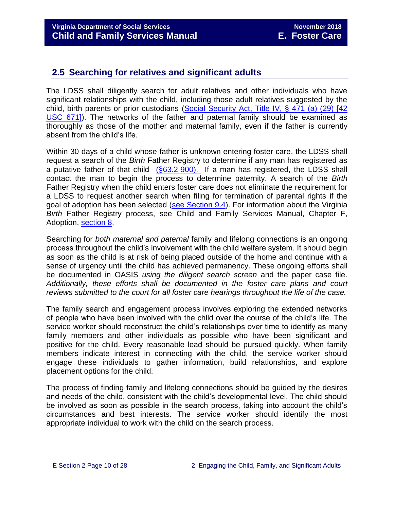## <span id="page-9-0"></span>**2.5 Searching for relatives and significant adults**

The LDSS shall diligently search for adult relatives and other individuals who have significant relationships with the child, including those adult relatives suggested by the child, birth parents or prior custodians [\(Social Security Act, Title IV, § 471 \(a\) \(29\) \[42](http://www.ssa.gov/OP_Home/ssact/title04/0471.htm)  [USC 671\]\)](http://www.ssa.gov/OP_Home/ssact/title04/0471.htm). The networks of the father and paternal family should be examined as thoroughly as those of the mother and maternal family, even if the father is currently absent from the child's life.

Within 30 days of a child whose father is unknown entering foster care, the LDSS shall request a search of the *Birth* Father Registry to determine if any man has registered as a putative father of that child [\(§63.2-900\).](http://law.lis.virginia.gov/vacode/63.2-900/) If a man has registered, the LDSS shall contact the man to begin the process to determine paternity. A search of the *Birth* Father Registry when the child enters foster care does not eliminate the requirement for a LDSS to request another search when filing for termination of parental rights if the goal of adoption has been selected [\(see Section 9.4\)](file://///Vaultcelerra.co.dss.state.va.us/Workgroup/Family_Services/DFS%20Child%20and%20Family%20Services%20Manual/E.%20Foster%20Care/Foster%20Care%20June%202017/section_9_achieving_permanency_goal_adoption%20draft.docx). For information about the Virginia *Birth* Father Registry process, see Child and Family Services Manual, Chapter F, Adoption, [section 8.](http://www.dss.virginia.gov/files/division/dfs/ap/intro_page/manuals/07-01-2014/section_8_putative_father_registry.pdf)

Searching for *both maternal and paternal* family and lifelong connections is an ongoing process throughout the child's involvement with the child welfare system. It should begin as soon as the child is at risk of being placed outside of the home and continue with a sense of urgency until the child has achieved permanency. These ongoing efforts shall be documented in OASIS *using the diligent search screen* and the paper case file. *Additionally, these efforts shall be documented in the foster care plans and court reviews submitted to the court for all foster care hearings throughout the life of the case.* 

The family search and engagement process involves exploring the extended networks of people who have been involved with the child over the course of the child's life. The service worker should reconstruct the child's relationships over time to identify as many family members and other individuals as possible who have been significant and positive for the child. Every reasonable lead should be pursued quickly. When family members indicate interest in connecting with the child, the service worker should engage these individuals to gather information, build relationships, and explore placement options for the child.

The process of finding family and lifelong connections should be guided by the desires and needs of the child, consistent with the child's developmental level. The child should be involved as soon as possible in the search process, taking into account the child's circumstances and best interests. The service worker should identify the most appropriate individual to work with the child on the search process.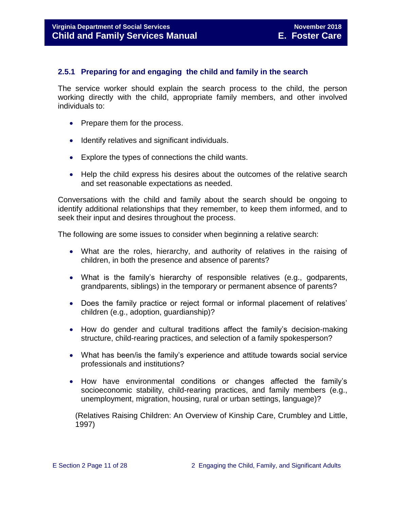#### <span id="page-10-0"></span>**2.5.1 Preparing for and engaging the child and family in the search**

The service worker should explain the search process to the child, the person working directly with the child, appropriate family members, and other involved individuals to:

- Prepare them for the process.
- Identify relatives and significant individuals.
- Explore the types of connections the child wants.
- Help the child express his desires about the outcomes of the relative search and set reasonable expectations as needed.

Conversations with the child and family about the search should be ongoing to identify additional relationships that they remember, to keep them informed, and to seek their input and desires throughout the process.

The following are some issues to consider when beginning a relative search:

- What are the roles, hierarchy, and authority of relatives in the raising of children, in both the presence and absence of parents?
- What is the family's hierarchy of responsible relatives (e.g., godparents, grandparents, siblings) in the temporary or permanent absence of parents?
- Does the family practice or reject formal or informal placement of relatives' children (e.g., adoption, guardianship)?
- How do gender and cultural traditions affect the family's decision-making structure, child-rearing practices, and selection of a family spokesperson?
- What has been/is the family's experience and attitude towards social service professionals and institutions?
- How have environmental conditions or changes affected the family's socioeconomic stability, child-rearing practices, and family members (e.g., unemployment, migration, housing, rural or urban settings, language)?

(Relatives Raising Children: An Overview of Kinship Care, Crumbley and Little, 1997)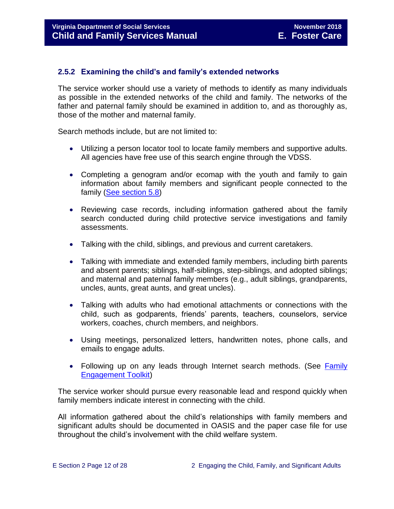#### <span id="page-11-0"></span>**2.5.2 Examining the child's and family's extended networks**

The service worker should use a variety of methods to identify as many individuals as possible in the extended networks of the child and family. The networks of the father and paternal family should be examined in addition to, and as thoroughly as, those of the mother and maternal family.

Search methods include, but are not limited to:

- Utilizing a person locator tool to locate family members and supportive adults. All agencies have free use of this search engine through the VDSS.
- Completing a genogram and/or ecomap with the youth and family to gain information about family members and significant people connected to the family [\(See section 5.8\)](file://///Vaultcelerra.co.dss.state.va.us/Workgroup/Family_Services/DFS%20Child%20and%20Family%20Services%20Manual/E.%20Foster%20Care/Foster%20Care%20June%202017/section_5_conducting_child_and_family_assessment.docx)
- Reviewing case records, including information gathered about the family search conducted during child protective service investigations and family assessments.
- Talking with the child, siblings, and previous and current caretakers.
- Talking with immediate and extended family members, including birth parents and absent parents; siblings, half-siblings, step-siblings, and adopted siblings; and maternal and paternal family members (e.g., adult siblings, grandparents, uncles, aunts, great aunts, and great uncles).
- Talking with adults who had emotional attachments or connections with the child, such as godparents, friends' parents, teachers, counselors, service workers, coaches, church members, and neighbors.
- Using meetings, personalized letters, handwritten notes, phone calls, and emails to engage adults.
- Following up on any leads through Internet search methods. (See Family [Engagement Toolkit\)](http://www.dss.virginia.gov/family/fe.cgi)

The service worker should pursue every reasonable lead and respond quickly when family members indicate interest in connecting with the child.

All information gathered about the child's relationships with family members and significant adults should be documented in OASIS and the paper case file for use throughout the child's involvement with the child welfare system.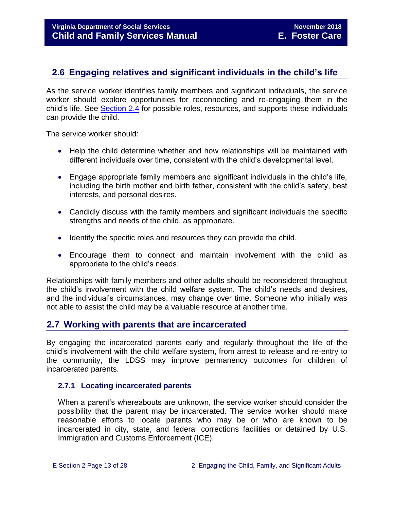## <span id="page-12-0"></span>**2.6 Engaging relatives and significant individuals in the child's life**

As the service worker identifies family members and significant individuals, the service worker should explore opportunities for reconnecting and re-engaging them in the child's life. See [Section](#page-7-0) 2.4 for possible roles, resources, and supports these individuals can provide the child.

The service worker should:

- Help the child determine whether and how relationships will be maintained with different individuals over time, consistent with the child's developmental level.
- Engage appropriate family members and significant individuals in the child's life, including the birth mother and birth father, consistent with the child's safety, best interests, and personal desires.
- Candidly discuss with the family members and significant individuals the specific strengths and needs of the child, as appropriate.
- Identify the specific roles and resources they can provide the child.
- Encourage them to connect and maintain involvement with the child as appropriate to the child's needs.

Relationships with family members and other adults should be reconsidered throughout the child's involvement with the child welfare system. The child's needs and desires, and the individual's circumstances, may change over time. Someone who initially was not able to assist the child may be a valuable resource at another time.

## <span id="page-12-1"></span>**2.7 Working with parents that are incarcerated**

By engaging the incarcerated parents early and regularly throughout the life of the child's involvement with the child welfare system, from arrest to release and re-entry to the community, the LDSS may improve permanency outcomes for children of incarcerated parents.

#### <span id="page-12-2"></span>**2.7.1 Locating incarcerated parents**

When a parent's whereabouts are unknown, the service worker should consider the possibility that the parent may be incarcerated. The service worker should make reasonable efforts to locate parents who may be or who are known to be incarcerated in city, state, and federal corrections facilities or detained by U.S. Immigration and Customs Enforcement (ICE).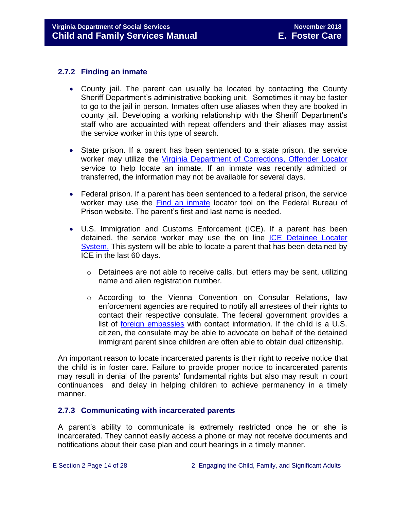#### <span id="page-13-0"></span>**2.7.2 Finding an inmate**

- County jail. The parent can usually be located by contacting the County Sheriff Department's administrative booking unit. Sometimes it may be faster to go to the jail in person. Inmates often use aliases when they are booked in county jail. Developing a working relationship with the Sheriff Department's staff who are acquainted with repeat offenders and their aliases may assist the service worker in this type of search.
- State prison. If a parent has been sentenced to a state prison, the service worker may utilize the [Virginia Department of Corrections, Offender Locator](http://vadoc.virginia.gov/offenders/locator/index.aspx) service to help locate an inmate. If an inmate was recently admitted or transferred, the information may not be available for several days.
- Federal prison. If a parent has been sentenced to a federal prison, the service worker may use the [Find an inmate](http://www.bop.gov/inmateloc/) locator tool on the Federal Bureau of Prison website. The parent's first and last name is needed.
- U.S. Immigration and Customs Enforcement (ICE). If a parent has been detained, the service worker may use the on line [ICE Detainee Locater](https://locator.ice.gov/odls/homePage.do)  [System.](https://locator.ice.gov/odls/homePage.do) This system will be able to locate a parent that has been detained by ICE in the last 60 days.
	- o Detainees are not able to receive calls, but letters may be sent, utilizing name and alien registration number.
	- o According to the Vienna Convention on Consular Relations, law enforcement agencies are required to notify all arrestees of their rights to contact their respective consulate. The federal government provides a list of <u>foreign embassies</u> with contact information. If the child is a U.S. citizen, the consulate may be able to advocate on behalf of the detained immigrant parent since children are often able to obtain dual citizenship.

An important reason to locate incarcerated parents is their right to receive notice that the child is in foster care. Failure to provide proper notice to incarcerated parents may result in denial of the parents' fundamental rights but also may result in court continuances and delay in helping children to achieve permanency in a timely manner.

#### <span id="page-13-1"></span>**2.7.3 Communicating with incarcerated parents**

A parent's ability to communicate is extremely restricted once he or she is incarcerated. They cannot easily access a phone or may not receive documents and notifications about their case plan and court hearings in a timely manner.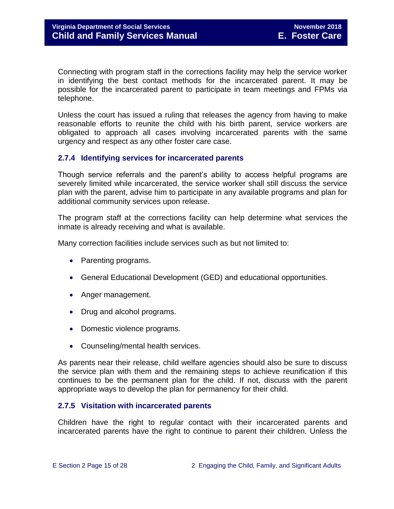Connecting with program staff in the corrections facility may help the service worker in identifying the best contact methods for the incarcerated parent. It may be possible for the incarcerated parent to participate in team meetings and FPMs via telephone.

Unless the court has issued a ruling that releases the agency from having to make reasonable efforts to reunite the child with his birth parent, service workers are obligated to approach all cases involving incarcerated parents with the same urgency and respect as any other foster care case.

#### <span id="page-14-0"></span>**2.7.4 Identifying services for incarcerated parents**

Though service referrals and the parent's ability to access helpful programs are severely limited while incarcerated, the service worker shall still discuss the service plan with the parent, advise him to participate in any available programs and plan for additional community services upon release.

The program staff at the corrections facility can help determine what services the inmate is already receiving and what is available.

Many correction facilities include services such as but not limited to:

- Parenting programs.
- General Educational Development (GED) and educational opportunities.
- Anger management.
- Drug and alcohol programs.
- Domestic violence programs.
- Counseling/mental health services.

As parents near their release, child welfare agencies should also be sure to discuss the service plan with them and the remaining steps to achieve reunification if this continues to be the permanent plan for the child. If not, discuss with the parent appropriate ways to develop the plan for permanency for their child.

#### <span id="page-14-1"></span>**2.7.5 Visitation with incarcerated parents**

Children have the right to regular contact with their incarcerated parents and incarcerated parents have the right to continue to parent their children. Unless the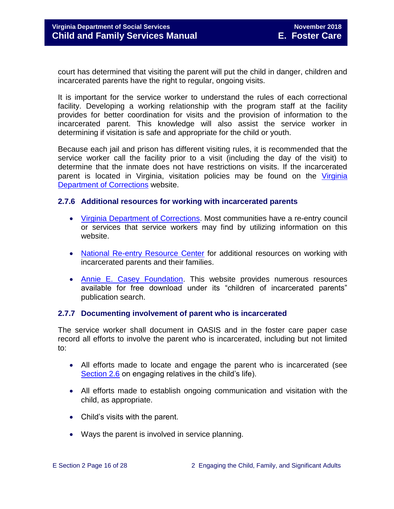court has determined that visiting the parent will put the child in danger, children and incarcerated parents have the right to regular, ongoing visits.

It is important for the service worker to understand the rules of each correctional facility. Developing a working relationship with the program staff at the facility provides for better coordination for visits and the provision of information to the incarcerated parent. This knowledge will also assist the service worker in determining if visitation is safe and appropriate for the child or youth.

Because each jail and prison has different visiting rules, it is recommended that the service worker call the facility prior to a visit (including the day of the visit) to determine that the inmate does not have restrictions on visits. If the incarcerated parent is located in Virginia, visitation policies may be found on the [Virginia](http://vadoc.virginia.gov/offenders/visitation/default.shtm)  [Department of Corrections](http://vadoc.virginia.gov/offenders/visitation/default.shtm) website.

#### <span id="page-15-0"></span>**2.7.6 Additional resources for working with incarcerated parents**

- [Virginia Department of Corrections.](http://www.vadoc.virginia.gov/) Most communities have a re-entry council or services that service workers may find by utilizing information on this website.
- [National Re-entry Resource Center](https://csgjusticecenter.org/nrrc/publications/about-the-national-reentry-resource-center/) for additional resources on working with incarcerated parents and their families.
- [Annie E. Casey Foundation.](http://www.aecf.org/) This website provides numerous resources available for free download under its "children of incarcerated parents" publication search.

#### <span id="page-15-1"></span>**2.7.7 Documenting involvement of parent who is incarcerated**

The service worker shall document in OASIS and in the foster care paper case record all efforts to involve the parent who is incarcerated, including but not limited to:

- All efforts made to locate and engage the parent who is incarcerated (see [Section 2.6](http://www.dss.virginia.gov/family/fc/index.cgi#manuals) on engaging relatives in the child's life).
- All efforts made to establish ongoing communication and visitation with the child, as appropriate.
- Child's visits with the parent.
- Ways the parent is involved in service planning.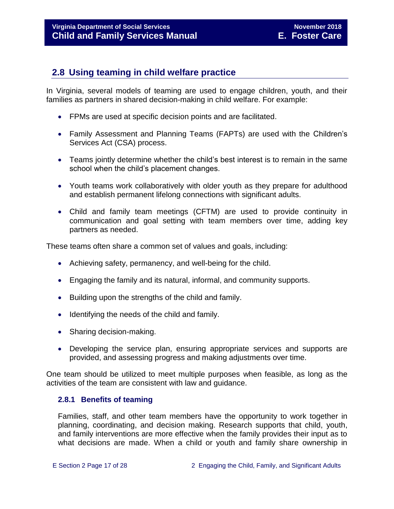## <span id="page-16-0"></span>**2.8 Using teaming in child welfare practice**

In Virginia, several models of teaming are used to engage children, youth, and their families as partners in shared decision-making in child welfare. For example:

- FPMs are used at specific decision points and are facilitated.
- Family Assessment and Planning Teams (FAPTs) are used with the Children's Services Act (CSA) process.
- Teams jointly determine whether the child's best interest is to remain in the same school when the child's placement changes.
- Youth teams work collaboratively with older youth as they prepare for adulthood and establish permanent lifelong connections with significant adults.
- Child and family team meetings (CFTM) are used to provide continuity in communication and goal setting with team members over time, adding key partners as needed.

These teams often share a common set of values and goals, including:

- Achieving safety, permanency, and well-being for the child.
- Engaging the family and its natural, informal, and community supports.
- Building upon the strengths of the child and family.
- Identifying the needs of the child and family.
- Sharing decision-making.
- Developing the service plan, ensuring appropriate services and supports are provided, and assessing progress and making adjustments over time.

One team should be utilized to meet multiple purposes when feasible, as long as the activities of the team are consistent with law and guidance.

#### <span id="page-16-1"></span>**2.8.1 Benefits of teaming**

Families, staff, and other team members have the opportunity to work together in planning, coordinating, and decision making. Research supports that child, youth, and family interventions are more effective when the family provides their input as to what decisions are made. When a child or youth and family share ownership in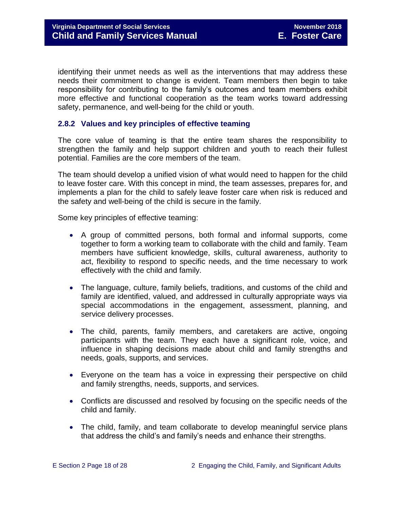identifying their unmet needs as well as the interventions that may address these needs their commitment to change is evident. Team members then begin to take responsibility for contributing to the family's outcomes and team members exhibit more effective and functional cooperation as the team works toward addressing safety, permanence, and well-being for the child or youth.

#### <span id="page-17-0"></span>**2.8.2 Values and key principles of effective teaming**

The core value of teaming is that the entire team shares the responsibility to strengthen the family and help support children and youth to reach their fullest potential. Families are the core members of the team.

The team should develop a unified vision of what would need to happen for the child to leave foster care. With this concept in mind, the team assesses, prepares for, and implements a plan for the child to safely leave foster care when risk is reduced and the safety and well-being of the child is secure in the family.

Some key principles of effective teaming:

- A group of committed persons, both formal and informal supports, come together to form a working team to collaborate with the child and family. Team members have sufficient knowledge, skills, cultural awareness, authority to act, flexibility to respond to specific needs, and the time necessary to work effectively with the child and family.
- The language, culture, family beliefs, traditions, and customs of the child and family are identified, valued, and addressed in culturally appropriate ways via special accommodations in the engagement, assessment, planning, and service delivery processes.
- The child, parents, family members, and caretakers are active, ongoing participants with the team. They each have a significant role, voice, and influence in shaping decisions made about child and family strengths and needs, goals, supports, and services.
- Everyone on the team has a voice in expressing their perspective on child and family strengths, needs, supports, and services.
- Conflicts are discussed and resolved by focusing on the specific needs of the child and family.
- The child, family, and team collaborate to develop meaningful service plans that address the child's and family's needs and enhance their strengths.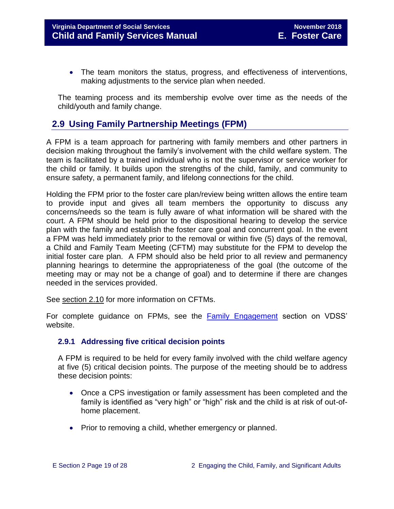• The team monitors the status, progress, and effectiveness of interventions, making adjustments to the service plan when needed.

The teaming process and its membership evolve over time as the needs of the child/youth and family change.

## <span id="page-18-0"></span>**2.9 Using Family Partnership Meetings (FPM)**

A FPM is a team approach for partnering with family members and other partners in decision making throughout the family's involvement with the child welfare system. The team is facilitated by a trained individual who is not the supervisor or service worker for the child or family. It builds upon the strengths of the child, family, and community to ensure safety, a permanent family, and lifelong connections for the child.

Holding the FPM prior to the foster care plan/review being written allows the entire team to provide input and gives all team members the opportunity to discuss any concerns/needs so the team is fully aware of what information will be shared with the court. A FPM should be held prior to the dispositional hearing to develop the service plan with the family and establish the foster care goal and concurrent goal. In the event a FPM was held immediately prior to the removal or within five (5) days of the removal, a Child and Family Team Meeting (CFTM) may substitute for the FPM to develop the initial foster care plan. A FPM should also be held prior to all review and permanency planning hearings to determine the appropriateness of the goal (the outcome of the meeting may or may not be a change of goal) and to determine if there are changes needed in the services provided.

See section 2.10 for more information on CFTMs.

For complete guidance on FPMs, see the [Family Engagement](http://www.dss.virginia.gov/family/fe.cgi) section on VDSS' website.

#### <span id="page-18-1"></span>**2.9.1 Addressing five critical decision points**

A FPM is required to be held for every family involved with the child welfare agency at five (5) critical decision points. The purpose of the meeting should be to address these decision points:

- Once a CPS investigation or family assessment has been completed and the family is identified as "very high" or "high" risk and the child is at risk of out-ofhome placement.
- Prior to removing a child, whether emergency or planned.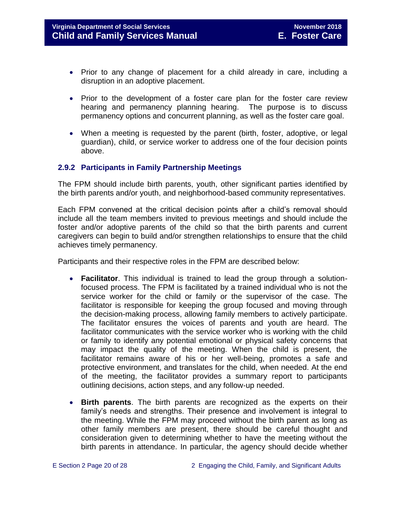- Prior to any change of placement for a child already in care, including a disruption in an adoptive placement.
- Prior to the development of a foster care plan for the foster care review hearing and permanency planning hearing. The purpose is to discuss permanency options and concurrent planning, as well as the foster care goal.
- When a meeting is requested by the parent (birth, foster, adoptive, or legal guardian), child, or service worker to address one of the four decision points above.

#### <span id="page-19-0"></span>**2.9.2 Participants in Family Partnership Meetings**

The FPM should include birth parents, youth, other significant parties identified by the birth parents and/or youth, and neighborhood-based community representatives.

Each FPM convened at the critical decision points after a child's removal should include all the team members invited to previous meetings and should include the foster and/or adoptive parents of the child so that the birth parents and current caregivers can begin to build and/or strengthen relationships to ensure that the child achieves timely permanency.

Participants and their respective roles in the FPM are described below:

- **Facilitator**. This individual is trained to lead the group through a solutionfocused process. The FPM is facilitated by a trained individual who is not the service worker for the child or family or the supervisor of the case. The facilitator is responsible for keeping the group focused and moving through the decision-making process, allowing family members to actively participate. The facilitator ensures the voices of parents and youth are heard. The facilitator communicates with the service worker who is working with the child or family to identify any potential emotional or physical safety concerns that may impact the quality of the meeting. When the child is present, the facilitator remains aware of his or her well‐being, promotes a safe and protective environment, and translates for the child, when needed. At the end of the meeting, the facilitator provides a summary report to participants outlining decisions, action steps, and any follow‐up needed.
- **Birth parents**. The birth parents are recognized as the experts on their family's needs and strengths. Their presence and involvement is integral to the meeting. While the FPM may proceed without the birth parent as long as other family members are present, there should be careful thought and consideration given to determining whether to have the meeting without the birth parents in attendance. In particular, the agency should decide whether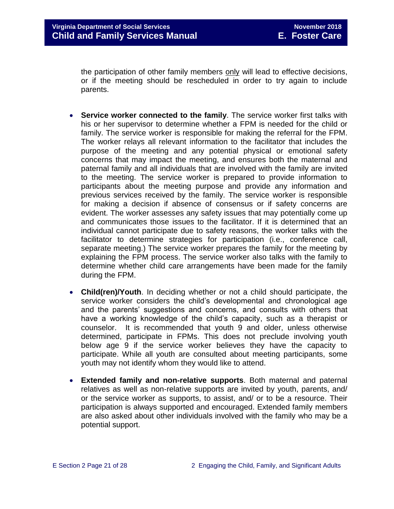the participation of other family members only will lead to effective decisions, or if the meeting should be rescheduled in order to try again to include parents.

- **Service worker connected to the family**. The service worker first talks with his or her supervisor to determine whether a FPM is needed for the child or family. The service worker is responsible for making the referral for the FPM. The worker relays all relevant information to the facilitator that includes the purpose of the meeting and any potential physical or emotional safety concerns that may impact the meeting, and ensures both the maternal and paternal family and all individuals that are involved with the family are invited to the meeting. The service worker is prepared to provide information to participants about the meeting purpose and provide any information and previous services received by the family. The service worker is responsible for making a decision if absence of consensus or if safety concerns are evident. The worker assesses any safety issues that may potentially come up and communicates those issues to the facilitator. If it is determined that an individual cannot participate due to safety reasons, the worker talks with the facilitator to determine strategies for participation (i.e., conference call, separate meeting.) The service worker prepares the family for the meeting by explaining the FPM process. The service worker also talks with the family to determine whether child care arrangements have been made for the family during the FPM.
- **Child(ren)/Youth**. In deciding whether or not a child should participate, the service worker considers the child's developmental and chronological age and the parents' suggestions and concerns, and consults with others that have a working knowledge of the child's capacity, such as a therapist or counselor. It is recommended that youth 9 and older, unless otherwise determined, participate in FPMs. This does not preclude involving youth below age 9 if the service worker believes they have the capacity to participate. While all youth are consulted about meeting participants, some youth may not identify whom they would like to attend.
- **Extended family and non**‐**relative supports**. Both maternal and paternal relatives as well as non‐relative supports are invited by youth, parents, and/ or the service worker as supports, to assist, and/ or to be a resource. Their participation is always supported and encouraged. Extended family members are also asked about other individuals involved with the family who may be a potential support.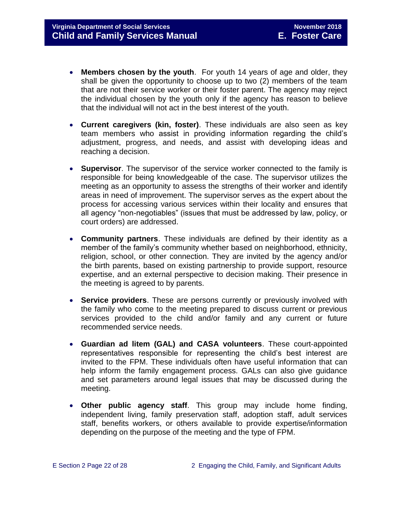- **Members chosen by the youth**. For youth 14 years of age and older, they shall be given the opportunity to choose up to two (2) members of the team that are not their service worker or their foster parent. The agency may reject the individual chosen by the youth only if the agency has reason to believe that the individual will not act in the best interest of the youth.
- **Current caregivers (kin, foster)**. These individuals are also seen as key team members who assist in providing information regarding the child's adjustment, progress, and needs, and assist with developing ideas and reaching a decision.
- **Supervisor**. The supervisor of the service worker connected to the family is responsible for being knowledgeable of the case. The supervisor utilizes the meeting as an opportunity to assess the strengths of their worker and identify areas in need of improvement. The supervisor serves as the expert about the process for accessing various services within their locality and ensures that all agency "non-negotiables" (issues that must be addressed by law, policy, or court orders) are addressed.
- **Community partners**. These individuals are defined by their identity as a member of the family's community whether based on neighborhood, ethnicity, religion, school, or other connection. They are invited by the agency and/or the birth parents, based on existing partnership to provide support, resource expertise, and an external perspective to decision making. Their presence in the meeting is agreed to by parents.
- **Service providers**. These are persons currently or previously involved with the family who come to the meeting prepared to discuss current or previous services provided to the child and/or family and any current or future recommended service needs.
- **Guardian ad litem (GAL) and CASA volunteers**. These court‐appointed representatives responsible for representing the child's best interest are invited to the FPM. These individuals often have useful information that can help inform the family engagement process. GALs can also give guidance and set parameters around legal issues that may be discussed during the meeting.
- **Other public agency staff**. This group may include home finding, independent living, family preservation staff, adoption staff, adult services staff, benefits workers, or others available to provide expertise/information depending on the purpose of the meeting and the type of FPM.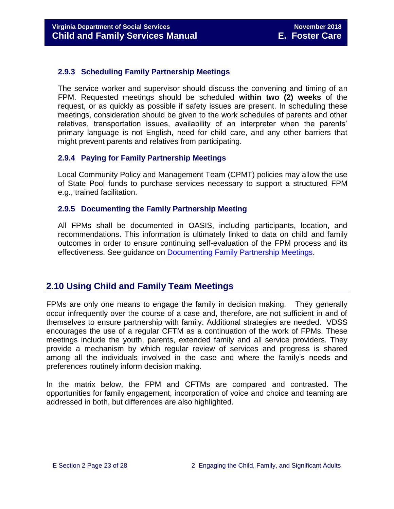#### <span id="page-22-0"></span>**2.9.3 Scheduling Family Partnership Meetings**

The service worker and supervisor should discuss the convening and timing of an FPM. Requested meetings should be scheduled **within two (2) weeks** of the request, or as quickly as possible if safety issues are present. In scheduling these meetings, consideration should be given to the work schedules of parents and other relatives, transportation issues, availability of an interpreter when the parents' primary language is not English, need for child care, and any other barriers that might prevent parents and relatives from participating.

#### <span id="page-22-1"></span>**2.9.4 Paying for Family Partnership Meetings**

Local Community Policy and Management Team (CPMT) policies may allow the use of State Pool funds to purchase services necessary to support a structured FPM e.g., trained facilitation.

#### <span id="page-22-2"></span>**2.9.5 Documenting the Family Partnership Meeting**

All FPMs shall be documented in OASIS, including participants, location, and recommendations. This information is ultimately linked to data on child and family outcomes in order to ensure continuing self-evaluation of the FPM process and its effectiveness. See guidance on Documenting Family [Partnership Meetings.](http://spark.dss.virginia.gov/divisions/dfs/reporting/files/intro_page/data_integrity_oasis/guidance_procedures/family_partnership.pdf)

## <span id="page-22-3"></span>**2.10 Using Child and Family Team Meetings**

FPMs are only one means to engage the family in decision making. They generally occur infrequently over the course of a case and, therefore, are not sufficient in and of themselves to ensure partnership with family. Additional strategies are needed. VDSS encourages the use of a regular CFTM as a continuation of the work of FPMs. These meetings include the youth, parents, extended family and all service providers. They provide a mechanism by which regular review of services and progress is shared among all the individuals involved in the case and where the family's needs and preferences routinely inform decision making.

In the matrix below, the FPM and CFTMs are compared and contrasted. The opportunities for family engagement, incorporation of voice and choice and teaming are addressed in both, but differences are also highlighted.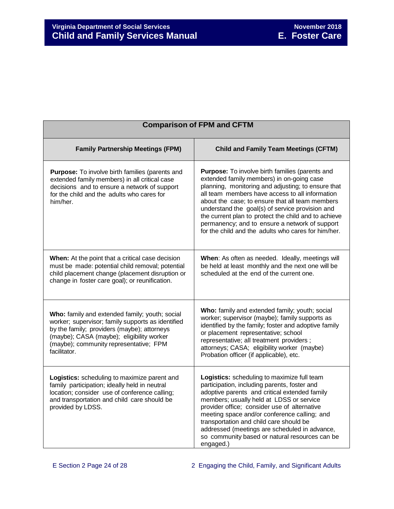| <b>Comparison of FPM and CFTM</b>                                                                                                                                                                                                                         |                                                                                                                                                                                                                                                                                                                                                                                                                                                                                     |  |  |  |
|-----------------------------------------------------------------------------------------------------------------------------------------------------------------------------------------------------------------------------------------------------------|-------------------------------------------------------------------------------------------------------------------------------------------------------------------------------------------------------------------------------------------------------------------------------------------------------------------------------------------------------------------------------------------------------------------------------------------------------------------------------------|--|--|--|
| <b>Family Partnership Meetings (FPM)</b>                                                                                                                                                                                                                  | <b>Child and Family Team Meetings (CFTM)</b>                                                                                                                                                                                                                                                                                                                                                                                                                                        |  |  |  |
| <b>Purpose:</b> To involve birth families (parents and<br>extended family members) in all critical case<br>decisions and to ensure a network of support<br>for the child and the adults who cares for<br>him/her.                                         | <b>Purpose:</b> To involve birth families (parents and<br>extended family members) in on-going case<br>planning, monitoring and adjusting; to ensure that<br>all team members have access to all information<br>about the case; to ensure that all team members<br>understand the goal(s) of service provision and<br>the current plan to protect the child and to achieve<br>permanency; and to ensure a network of support<br>for the child and the adults who cares for him/her. |  |  |  |
| When: At the point that a critical case decision<br>must be made: potential child removal; potential<br>child placement change (placement disruption or<br>change in foster care goal); or reunification.                                                 | When: As often as needed. Ideally, meetings will<br>be held at least monthly and the next one will be<br>scheduled at the end of the current one.                                                                                                                                                                                                                                                                                                                                   |  |  |  |
| Who: family and extended family; youth; social<br>worker; supervisor; family supports as identified<br>by the family; providers (maybe); attorneys<br>(maybe); CASA (maybe); eligibility worker<br>(maybe); community representative; FPM<br>facilitator. | Who: family and extended family; youth; social<br>worker; supervisor (maybe); family supports as<br>identified by the family; foster and adoptive family<br>or placement representative; school<br>representative; all treatment providers;<br>attorneys; CASA; eligibility worker (maybe)<br>Probation officer (if applicable), etc.                                                                                                                                               |  |  |  |
| Logistics: scheduling to maximize parent and<br>family participation; ideally held in neutral<br>location; consider use of conference calling;<br>and transportation and child care should be<br>provided by LDSS.                                        | Logistics: scheduling to maximize full team<br>participation, including parents, foster and<br>adoptive parents and critical extended family<br>members; usually held at LDSS or service<br>provider office; consider use of alternative<br>meeting space and/or conference calling; and<br>transportation and child care should be<br>addressed (meetings are scheduled in advance,<br>so community based or natural resources can be<br>engaged.)                                 |  |  |  |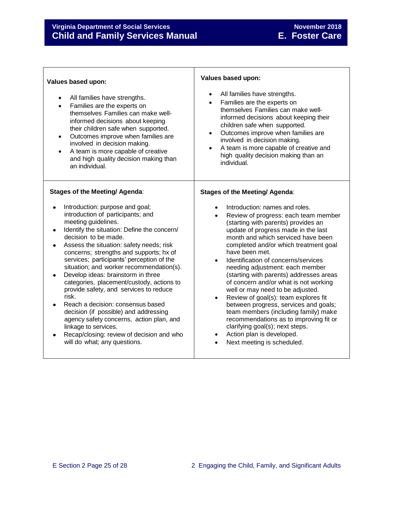Г

| Values based upon:                                                                                                                                                                                                                                                                                                                                                                                                                                                                                                                                                                                                                                                                                                      | Values based upon:                                                                                                                                                                                                                                                                                                                                                                                                                                                                                                                                                                                                                                                                                                       |
|-------------------------------------------------------------------------------------------------------------------------------------------------------------------------------------------------------------------------------------------------------------------------------------------------------------------------------------------------------------------------------------------------------------------------------------------------------------------------------------------------------------------------------------------------------------------------------------------------------------------------------------------------------------------------------------------------------------------------|--------------------------------------------------------------------------------------------------------------------------------------------------------------------------------------------------------------------------------------------------------------------------------------------------------------------------------------------------------------------------------------------------------------------------------------------------------------------------------------------------------------------------------------------------------------------------------------------------------------------------------------------------------------------------------------------------------------------------|
| All families have strengths.<br>Families are the experts on<br>themselves Families can make well-<br>informed decisions about keeping<br>their children safe when supported.<br>Outcomes improve when families are<br>$\bullet$<br>involved in decision making.<br>A team is more capable of creative<br>$\bullet$<br>and high quality decision making than<br>an individual.                                                                                                                                                                                                                                                                                                                                           | All families have strengths.<br>Families are the experts on<br>themselves Families can make well-<br>informed decisions about keeping their<br>children safe when supported.<br>Outcomes improve when families are<br>involved in decision making.<br>A team is more capable of creative and<br>high quality decision making than an<br>individual.                                                                                                                                                                                                                                                                                                                                                                      |
| <b>Stages of the Meeting/ Agenda:</b>                                                                                                                                                                                                                                                                                                                                                                                                                                                                                                                                                                                                                                                                                   | <b>Stages of the Meeting/ Agenda:</b>                                                                                                                                                                                                                                                                                                                                                                                                                                                                                                                                                                                                                                                                                    |
| Introduction: purpose and goal;<br>introduction of participants; and<br>meeting guidelines.<br>Identify the situation: Define the concern/<br>decision to be made.<br>Assess the situation: safety needs; risk<br>concerns; strengths and supports; hx of<br>services; participants' perception of the<br>situation; and worker recommendation(s).<br>Develop ideas: brainstorm in three<br>categories, placement/custody, actions to<br>provide safety, and services to reduce<br>risk.<br>Reach a decision: consensus based<br>decision (if possible) and addressing<br>agency safety concerns, action plan, and<br>linkage to services.<br>Recap/closing: review of decision and who<br>will do what; any questions. | Introduction: names and roles.<br>Review of progress: each team member<br>(starting with parents) provides an<br>update of progress made in the last<br>month and which serviced have been<br>completed and/or which treatment goal<br>have been met.<br>Identification of concerns/services<br>needing adjustment: each member<br>(starting with parents) addresses areas<br>of concern and/or what is not working<br>well or may need to be adjusted.<br>Review of goal(s): team explores fit<br>between progress, services and goals;<br>team members (including family) make<br>recommendations as to improving fit or<br>clarifying goal(s); next steps.<br>Action plan is developed.<br>Next meeting is scheduled. |

Т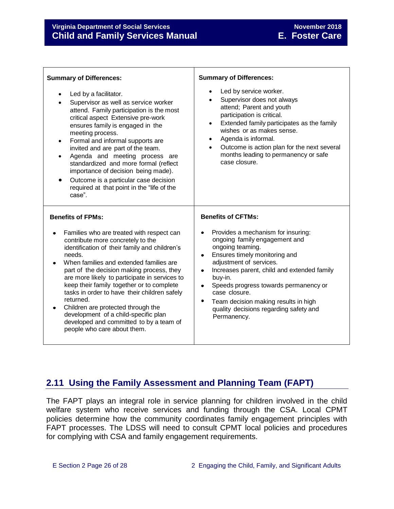| <b>Summary of Differences:</b>                                                                                                                                                                                                                                                                                                                                                                                                                                                                                                                                    | <b>Summary of Differences:</b>                                                                                                                                                                                                                                                                                                                                                                               |  |
|-------------------------------------------------------------------------------------------------------------------------------------------------------------------------------------------------------------------------------------------------------------------------------------------------------------------------------------------------------------------------------------------------------------------------------------------------------------------------------------------------------------------------------------------------------------------|--------------------------------------------------------------------------------------------------------------------------------------------------------------------------------------------------------------------------------------------------------------------------------------------------------------------------------------------------------------------------------------------------------------|--|
| Led by a facilitator.<br>$\bullet$<br>Supervisor as well as service worker<br>attend. Family participation is the most<br>critical aspect Extensive pre-work<br>ensures family is engaged in the<br>meeting process.<br>Formal and informal supports are<br>$\bullet$<br>invited and are part of the team.<br>Agenda and meeting process are<br>$\bullet$<br>standardized and more formal (reflect<br>importance of decision being made).<br>Outcome is a particular case decision<br>required at that point in the "life of the<br>case".                        | Led by service worker.<br>Supervisor does not always<br>attend; Parent and youth<br>participation is critical.<br>Extended family participates as the family<br>$\bullet$<br>wishes or as makes sense.<br>Agenda is informal.<br>Outcome is action plan for the next several<br>months leading to permanency or safe<br>case closure.                                                                        |  |
| <b>Benefits of FPMs:</b>                                                                                                                                                                                                                                                                                                                                                                                                                                                                                                                                          | <b>Benefits of CFTMs:</b>                                                                                                                                                                                                                                                                                                                                                                                    |  |
| Families who are treated with respect can<br>$\bullet$<br>contribute more concretely to the<br>identification of their family and children's<br>needs.<br>When families and extended families are<br>part of the decision making process, they<br>are more likely to participate in services to<br>keep their family together or to complete<br>tasks in order to have their children safely<br>returned.<br>Children are protected through the<br>development of a child-specific plan<br>developed and committed to by a team of<br>people who care about them. | Provides a mechanism for insuring:<br>ongoing family engagement and<br>ongoing teaming.<br>Ensures timely monitoring and<br>$\bullet$<br>adjustment of services.<br>Increases parent, child and extended family<br>۰<br>buy-in.<br>Speeds progress towards permanency or<br>$\bullet$<br>case closure.<br>۰<br>Team decision making results in high<br>quality decisions regarding safety and<br>Permanency. |  |

## <span id="page-25-0"></span>**2.11 Using the Family Assessment and Planning Team (FAPT)**

The FAPT plays an integral role in service planning for children involved in the child welfare system who receive services and funding through the CSA. Local CPMT policies determine how the community coordinates family engagement principles with FAPT processes. The LDSS will need to consult CPMT local policies and procedures for complying with CSA and family engagement requirements.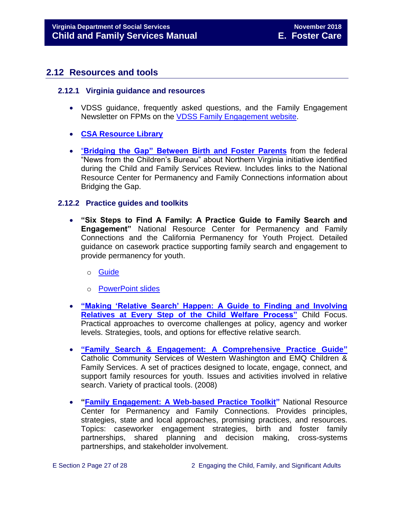### <span id="page-26-0"></span>**2.12 Resources and tools**

#### <span id="page-26-1"></span>**2.12.1 Virginia guidance and resources**

- VDSS guidance, frequently asked questions, and the Family Engagement Newsletter on FPMs on the [VDSS Family Engagement website.](http://www.dss.virginia.gov/family/fe.cgi)
- **[CSA Resource Library](http://www.csa.virginia.gov/html/training_technical/Resource_Library.cfm)**
- "**[Bridging the Gap" Between Birth and Foster Parents](http://cbexpress.acf.hhs.gov/index.cfm?event=website.viewArticles&issueid=112§ionid=1&articleid=2757)** from the federal "News from the Children's Bureau" about Northern Virginia initiative identified during the Child and Family Services Review. Includes links to the National Resource Center for Permanency and Family Connections information about Bridging the Gap.

#### <span id="page-26-2"></span>**2.12.2 Practice guides and toolkits**

- **"Six Steps to Find A Family: A Practice Guide to Family Search and Engagement"** National Resource Center for Permanency and Family Connections and the California Permanency for Youth Project. Detailed guidance on casework practice supporting family search and engagement to provide permanency for youth.
	- o [Guide](http://www.hunter.cuny.edu/socwork/nrcfcpp/downloads/SixSteps.pdf)
	- o [PowerPoint slides](http://www.hunter.cuny.edu/socwork/nrcfcpp/downloads/ppt/SixSteps.ppt)
- **["Making 'Relative Search' Happen: A Guide to Finding and Involving](http://childfocuspartners.com/wp-content/uploads/RelativeSearchGuide10-15.pdf)  [Relatives at Every Step of the Child Welfare Process"](http://childfocuspartners.com/wp-content/uploads/RelativeSearchGuide10-15.pdf)** Child Focus. Practical approaches to overcome challenges at policy, agency and worker levels. Strategies, tools, and options for effective relative search.
- **["Family Search & Engagement: A Comprehensive Practice Guide"](http://www.ccsww.org/site/DocServer/Family_Search_and_Engagement_Guide_CCS-EMQ.pdf?docID=641)** Catholic Community Services of Western Washington and EMQ Children & Family Services. A set of practices designed to locate, engage, connect, and support family resources for youth. Issues and activities involved in relative search. Variety of practical tools. (2008)
- **["Family Engagement: A Web-based Practice Toolkit"](http://nrcpfc.org/fewpt/introduction.htm)** National Resource Center for Permanency and Family Connections. Provides principles, strategies, state and local approaches, promising practices, and resources. Topics: caseworker engagement strategies, birth and foster family partnerships, shared planning and decision making, cross-systems partnerships, and stakeholder involvement.